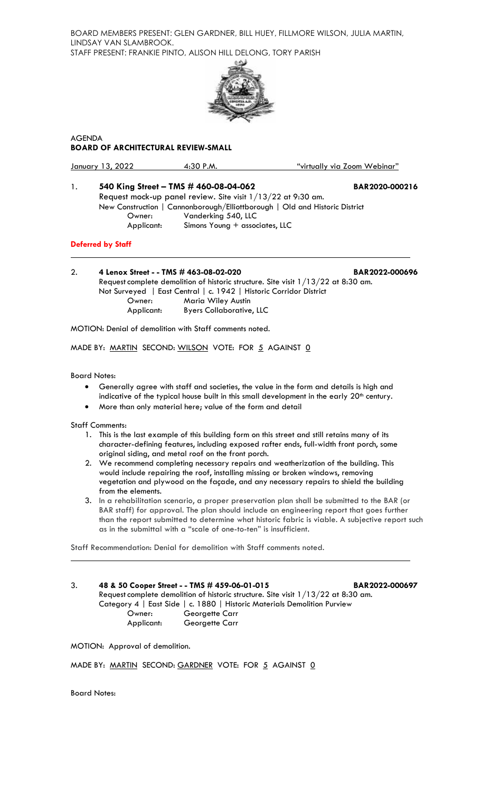BOARD MEMBERS PRESENT: GLEN GARDNER, BILL HUEY, FILLMORE WILSON, JULIA MARTIN, LINDSAY VAN SLAMBROOK. STAFF PRESENT: FRANKIE PINTO, ALISON HILL DELONG, TORY PARISH



AGENDA **BOARD OF ARCHITECTURAL REVIEW-SMALL**

January 13, 2022 4:30 P.M. "virtually via Zoom Webinar"

1. **540 King Street – TMS # 460-08-04-062 BAR2020-000216**

Request mock-up panel review. Site visit 1/13/22 at 9:30 am. New Construction | Cannonborough/Elliottborough | Old and Historic District Owner: Vanderking 540, LLC Applicant: Simons Young + associates, LLC

# **Deferred by Staff**

2. **4 Lenox Street - - TMS # 463-08-02-020 BAR2022-000696** Request complete demolition of historic structure. Site visit  $1/13/22$  at 8:30 am. Not Surveyed | East Central | c. 1942 | Historic Corridor District Owner: Maria Wiley Austin Applicant: Byers Collaborative, LLC

MOTION: Denial of demolition with Staff comments noted.

MADE BY: MARTIN SECOND: WILSON VOTE: FOR 5 AGAINST 0

Board Notes:

- Generally agree with staff and societies, the value in the form and details is high and indicative of the typical house built in this small development in the early 20<sup>th</sup> century.
- More than only material here; value of the form and detail

Staff Comments:

- 1. This is the last example of this building form on this street and still retains many of its character-defining features, including exposed rafter ends, full-width front porch, some original siding, and metal roof on the front porch.
- 2. We recommend completing necessary repairs and weatherization of the building. This would include repairing the roof, installing missing or broken windows, removing vegetation and plywood on the façade, and any necessary repairs to shield the building from the elements.
- 3. In a rehabilitation scenario, a proper preservation plan shall be submitted to the BAR (or BAR staff) for approval. The plan should include an engineering report that goes further than the report submitted to determine what historic fabric is viable. A subjective report such as in the submittal with a "scale of one-to-ten" is insufficient.

Staff Recommendation: Denial for demolition with Staff comments noted.

3. **48 & 50 Cooper Street - - TMS # 459-06-01-015 BAR2022-000697** Request complete demolition of historic structure. Site visit  $1/13/22$  at 8:30 am. Category 4 | East Side | c. 1880 | Historic Materials Demolition Purview Owner: Georgette Carr<br>
Applicant: Georgette Carr Georgette Carr

MOTION: Approval of demolition.

MADE BY: MARTIN SECOND: GARDNER VOTE: FOR 5 AGAINST 0

Board Notes: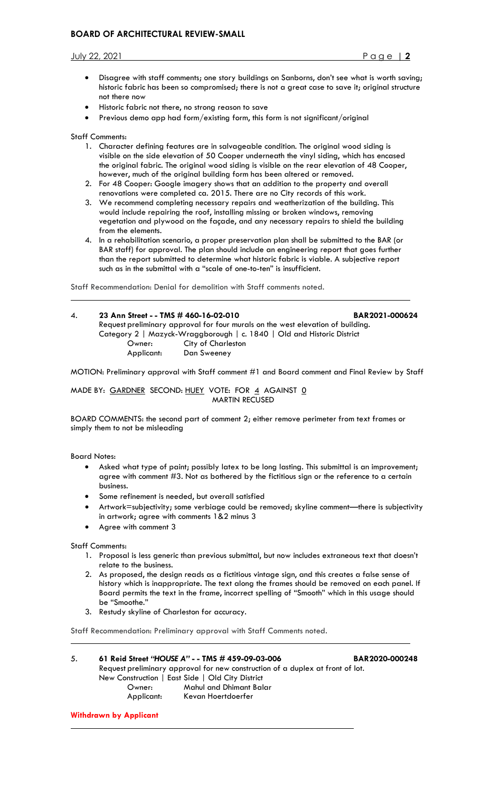# **BOARD OF ARCHITECTURAL REVIEW-SMALL**

#### July 22, 2021 Page | **2**

- Disagree with staff comments; one story buildings on Sanborns, don't see what is worth saving; historic fabric has been so compromised; there is not a great case to save it; original structure not there now
- Historic fabric not there, no strong reason to save
- Previous demo app had form/existing form, this form is not significant/original

Staff Comments:

- 1. Character defining features are in salvageable condition. The original wood siding is visible on the side elevation of 50 Cooper underneath the vinyl siding, which has encased the original fabric. The original wood siding is visible on the rear elevation of 48 Cooper, however, much of the original building form has been altered or removed.
- 2. For 48 Cooper: Google imagery shows that an addition to the property and overall renovations were completed ca. 2015. There are no City records of this work.
- 3. We recommend completing necessary repairs and weatherization of the building. This would include repairing the roof, installing missing or broken windows, removing vegetation and plywood on the façade, and any necessary repairs to shield the building from the elements.
- 4. In a rehabilitation scenario, a proper preservation plan shall be submitted to the BAR (or BAR staff) for approval. The plan should include an engineering report that goes further than the report submitted to determine what historic fabric is viable. A subjective report such as in the submittal with a "scale of one-to-ten" is insufficient.

Staff Recommendation: Denial for demolition with Staff comments noted.

4. **23 Ann Street - - TMS # 460-16-02-010 BAR2021-000624** Request preliminary approval for four murals on the west elevation of building. Category 2 | Mazyck-Wraggborough | c. 1840 | Old and Historic District Owner: City of Charleston<br>Applicant: Dan Sweeney Dan Sweeney

MOTION: Preliminary approval with Staff comment #1 and Board comment and Final Review by Staff

MADE BY: GARDNER SECOND: HUEY VOTE: FOR 4 AGAINST 0 MARTIN RECUSED

BOARD COMMENTS: the second part of comment 2; either remove perimeter from text frames or simply them to not be misleading

Board Notes:

- Asked what type of paint; possibly latex to be long lasting. This submittal is an improvement; agree with comment #3. Not as bothered by the fictitious sign or the reference to a certain business.
- Some refinement is needed, but overall satisfied
- Artwork=subjectivity; some verbiage could be removed; skyline comment—there is subjectivity in artwork; agree with comments 1&2 minus 3
- Agree with comment 3

Staff Comments:

- 1. Proposal is less generic than previous submittal, but now includes extraneous text that doesn't relate to the business.
- 2. As proposed, the design reads as a fictitious vintage sign, and this creates a false sense of history which is inappropriate. The text along the frames should be removed on each panel. If Board permits the text in the frame, incorrect spelling of "Smooth" which in this usage should be "Smoothe."
- 3. Restudy skyline of Charleston for accuracy.

Staff Recommendation: Preliminary approval with Staff Comments noted.

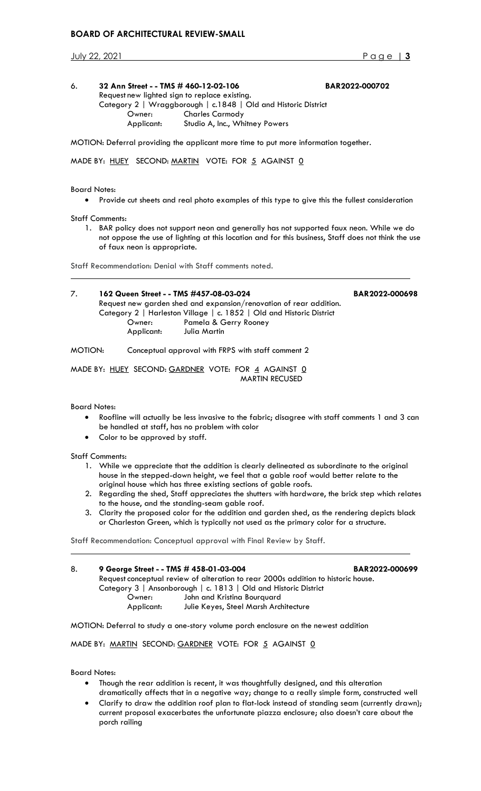# **BOARD OF ARCHITECTURAL REVIEW-SMALL**

July 22, 2021 Page | **3**

## 6. **32 Ann Street - - TMS # 460-12-02-106 BAR2022-000702** Request new lighted sign to replace existing. Category 2 | Wraggborough | c.1848 | Old and Historic District Owner: Charles Carmody Applicant: Studio A, Inc., Whitney Powers

MOTION: Deferral providing the applicant more time to put more information together.

MADE BY: HUEY SECOND: MARTIN VOTE: FOR 5 AGAINST 0

## Board Notes:

• Provide cut sheets and real photo examples of this type to give this the fullest consideration

Staff Comments:

1. BAR policy does not support neon and generally has not supported faux neon. While we do not oppose the use of lighting at this location and for this business, Staff does not think the use of faux neon is appropriate.

Staff Recommendation: Denial with Staff comments noted.

| 7.      | 162 Queen Street - - TMS #457-08-03-024<br>Request new garden shed and expansion/renovation of rear addition.<br>Category 2   Harleston Village   c. 1852   Old and Historic District | BAR2022-000698                                     |  |
|---------|---------------------------------------------------------------------------------------------------------------------------------------------------------------------------------------|----------------------------------------------------|--|
|         | Owner:<br>Applicant:                                                                                                                                                                  | Pamela & Gerry Rooney<br>Julia Martin              |  |
| MOTION: |                                                                                                                                                                                       | Conceptual approval with FRPS with staff comment 2 |  |

MADE BY: HUEY SECOND: GARDNER VOTE: FOR 4 AGAINST 0 MARTIN RECUSED

# Board Notes:

- Roofline will actually be less invasive to the fabric; disagree with staff comments 1 and 3 can be handled at staff, has no problem with color
- Color to be approved by staff.

#### Staff Comments:

- 1. While we appreciate that the addition is clearly delineated as subordinate to the original house in the stepped-down height, we feel that a gable roof would better relate to the original house which has three existing sections of gable roofs.
- 2. Regarding the shed, Staff appreciates the shutters with hardware, the brick step which relates to the house, and the standing-seam gable roof.
- 3. Clarity the proposed color for the addition and garden shed, as the rendering depicts black or Charleston Green, which is typically not used as the primary color for a structure.

Staff Recommendation: Conceptual approval with Final Review by Staff.

| 8. | 9 George Street - - TMS # 458-01-03-004                                           |                                       | BAR2022-000699 |  |  |  |
|----|-----------------------------------------------------------------------------------|---------------------------------------|----------------|--|--|--|
|    | Request conceptual review of alteration to rear 2000s addition to historic house. |                                       |                |  |  |  |
|    | Category 3   Ansonborough   c. 1813   Old and Historic District                   |                                       |                |  |  |  |
|    | Owner:                                                                            | John and Kristina Bourguard           |                |  |  |  |
|    | Applicant:                                                                        | Julie Keyes, Steel Marsh Architecture |                |  |  |  |

MOTION: Deferral to study a one-story volume porch enclosure on the newest addition

MADE BY: MARTIN SECOND: GARDNER VOTE: FOR 5 AGAINST 0

Board Notes:

- Though the rear addition is recent, it was thoughtfully designed, and this alteration dramatically affects that in a negative way; change to a really simple form, constructed well
- Clarify to draw the addition roof plan to flat-lock instead of standing seam (currently drawn); current proposal exacerbates the unfortunate piazza enclosure; also doesn't care about the porch railing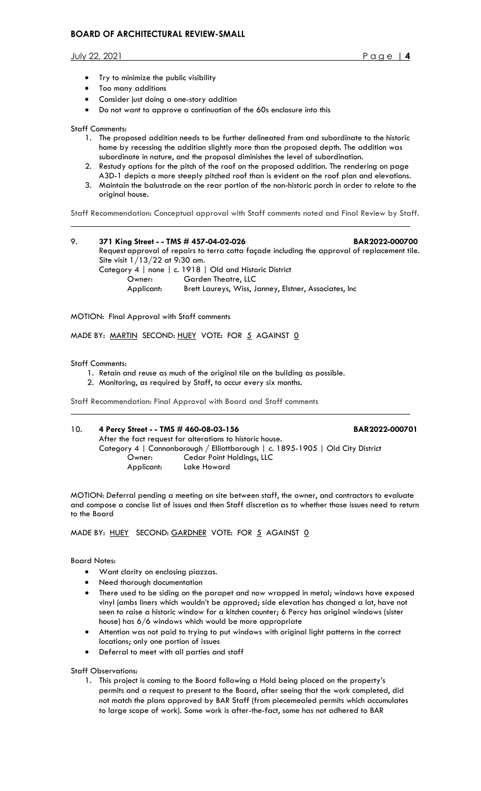July 22, 2021 Page | **4**

- Try to minimize the public visibility
- Too many additions
- Consider just doing a one-story addition
- Do not want to approve a continuation of the 60s enclosure into this

## Staff Comments:

- 1. The proposed addition needs to be further delineated from and subordinate to the historic home by recessing the addition slightly more than the proposed depth. The addition was subordinate in nature, and the proposal diminishes the level of subordination.
- 2. Restudy options for the pitch of the roof on the proposed addition. The rendering on page A3D-1 depicts a more steeply pitched roof than is evident on the roof plan and elevations.
- 3. Maintain the balustrade on the rear portion of the non-historic porch in order to relate to the original house.

Staff Recommendation: Conceptual approval with Staff comments noted and Final Review by Staff.

9. **371 King Street - - TMS # 457-04-02-026 BAR2022-000700** Request approval of repairs to terra cotta façade including the approval of replacement tile. Site visit 1/13/22 at 9:30 am. Category 4 | none | c. 1918 | Old and Historic District Owner: Garden Theatre, LLC Applicant: Brett Laureys, Wiss, Janney, Elstner, Associates, Inc

MOTION: Final Approval with Staff comments

MADE BY: MARTIN SECOND: HUEY VOTE: FOR 5 AGAINST 0

#### Staff Comments:

- 1. Retain and reuse as much of the original tile on the building as possible.
- 2. Monitoring, as required by Staff, to occur every six months.

Staff Recommendation: Final Approval with Board and Staff comments

| 10. | 4 Percy Street - - TMS # 460-08-03-156                                         |                           | BAR2022-000701 |  |
|-----|--------------------------------------------------------------------------------|---------------------------|----------------|--|
|     | After the fact request for alterations to historic house.                      |                           |                |  |
|     | Category 4   Cannonborough / Elliottborough   c. 1895-1905   Old City District |                           |                |  |
|     | Owner:                                                                         | Cedar Point Holdings, LLC |                |  |
|     | Applicant:                                                                     | Lake Howard               |                |  |

MOTION: Deferral pending a meeting on site between staff, the owner, and contractors to evaluate and compose a concise list of issues and then Staff discretion as to whether those issues need to return to the Board

MADE BY: HUEY SECOND: GARDNER VOTE: FOR 5 AGAINST 0

Board Notes:

- Want clarity on enclosing piazzas.
- Need thorough documentation
- There used to be siding on the parapet and now wrapped in metal; windows have exposed vinyl jambs liners which wouldn't be approved; side elevation has changed a lot, have not seen to raise a historic window for a kitchen counter; 6 Percy has original windows (sister house) has 6/6 windows which would be more appropriate
- Attention was not paid to trying to put windows with original light patterns in the correct locations; only one portion of issues
- Deferral to meet with all parties and staff

Staff Observations:

1. This project is coming to the Board following a Hold being placed on the property's permits and a request to present to the Board, after seeing that the work completed, did not match the plans approved by BAR Staff (from piecemealed permits which accumulates to large scope of work). Some work is after-the-fact, some has not adhered to BAR